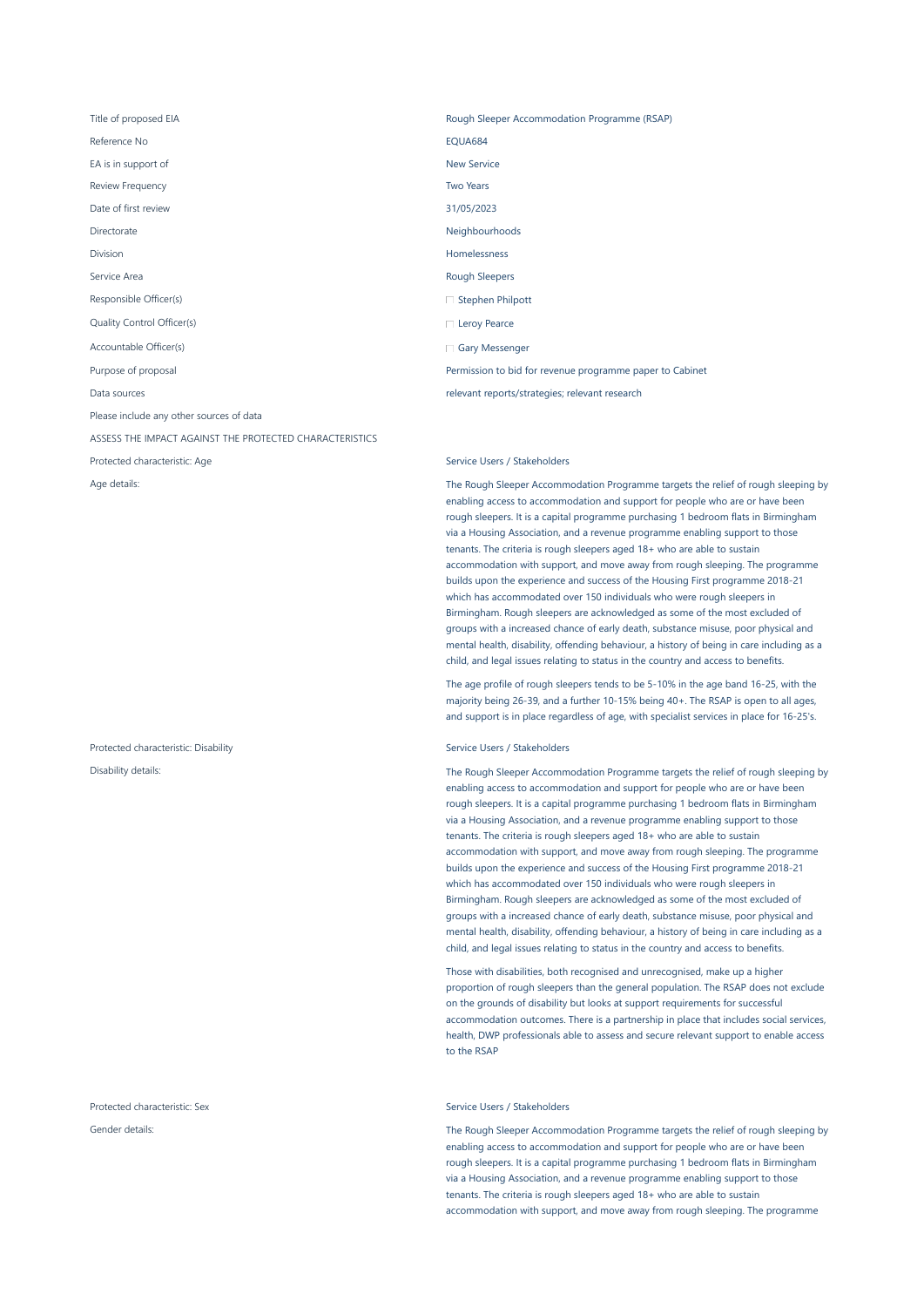EA is in support of New Service

Review Frequency **Two Years Review Frequency Two Years** 

Responsible Officer(s)

Quality Control Officer(s)

Accountable Officer(s)

Please include any other sources of data

ASSESS THE IMPACT AGAINST THE PROTECTED CHARACTERISTICS

Protected characteristic: Disability and Service Users / Stakeholders

Protected characteristic: Sex Service Users / Stakeholders / Stakeholders / Stakeholders / Stakeholders / Stakeholders

Title of proposed EIA **Rough Sleeper Accommodation Programme (RSAP)** Rough Sleeper Accommodation Programme (RSAP) Reference No **EQUA684** Date of first review 31/05/2023 Directorate Neighbourhoods **Neighbourhoods** Division **Homelessness** Service Area **Rough Sleepers Rough Sleepers** Purpose of proposal Permission to bid for revenue programme paper to Cabinet Data sources relevant reports/strategies; relevant research  $\Box$  Stephen Philpott □ Leroy Pearce Gary Messenger

Protected characteristic: Age Service Users / Stakeholders

Age details: The Rough Sleeper Accommodation Programme targets the relief of rough sleeping by enabling access to accommodation and support for people who are or have been rough sleepers. It is a capital programme purchasing 1 bedroom flats in Birmingham via a Housing Association, and a revenue programme enabling support to those tenants. The criteria is rough sleepers aged 18+ who are able to sustain accommodation with support, and move away from rough sleeping. The programme builds upon the experience and success of the Housing First programme 2018-21 which has accommodated over 150 individuals who were rough sleepers in Birmingham. Rough sleepers are acknowledged as some of the most excluded of groups with a increased chance of early death, substance misuse, poor physical and mental health, disability, offending behaviour, a history of being in care including as a child, and legal issues relating to status in the country and access to benefits.

> The age profile of rough sleepers tends to be 5-10% in the age band 16-25, with the majority being 26-39, and a further 10-15% being 40+. The RSAP is open to all ages, and support is in place regardless of age, with specialist services in place for 16-25's.

Disability details: The Rough Sleeper Accommodation Programme targets the relief of rough sleeping by enabling access to accommodation and support for people who are or have been rough sleepers. It is a capital programme purchasing 1 bedroom flats in Birmingham via a Housing Association, and a revenue programme enabling support to those tenants. The criteria is rough sleepers aged 18+ who are able to sustain accommodation with support, and move away from rough sleeping. The programme builds upon the experience and success of the Housing First programme 2018-21 which has accommodated over 150 individuals who were rough sleepers in Birmingham. Rough sleepers are acknowledged as some of the most excluded of groups with a increased chance of early death, substance misuse, poor physical and mental health, disability, offending behaviour, a history of being in care including as a child, and legal issues relating to status in the country and access to benefits.

> Those with disabilities, both recognised and unrecognised, make up a higher proportion of rough sleepers than the general population. The RSAP does not exclude on the grounds of disability but looks at support requirements for successful accommodation outcomes. There is a partnership in place that includes social services, health, DWP professionals able to assess and secure relevant support to enable access to the RSAP

Gender details: The Rough Sleeper Accommodation Programme targets the relief of rough sleeping by enabling access to accommodation and support for people who are or have been rough sleepers. It is a capital programme purchasing 1 bedroom flats in Birmingham via a Housing Association, and a revenue programme enabling support to those tenants. The criteria is rough sleepers aged 18+ who are able to sustain accommodation with support, and move away from rough sleeping. The programme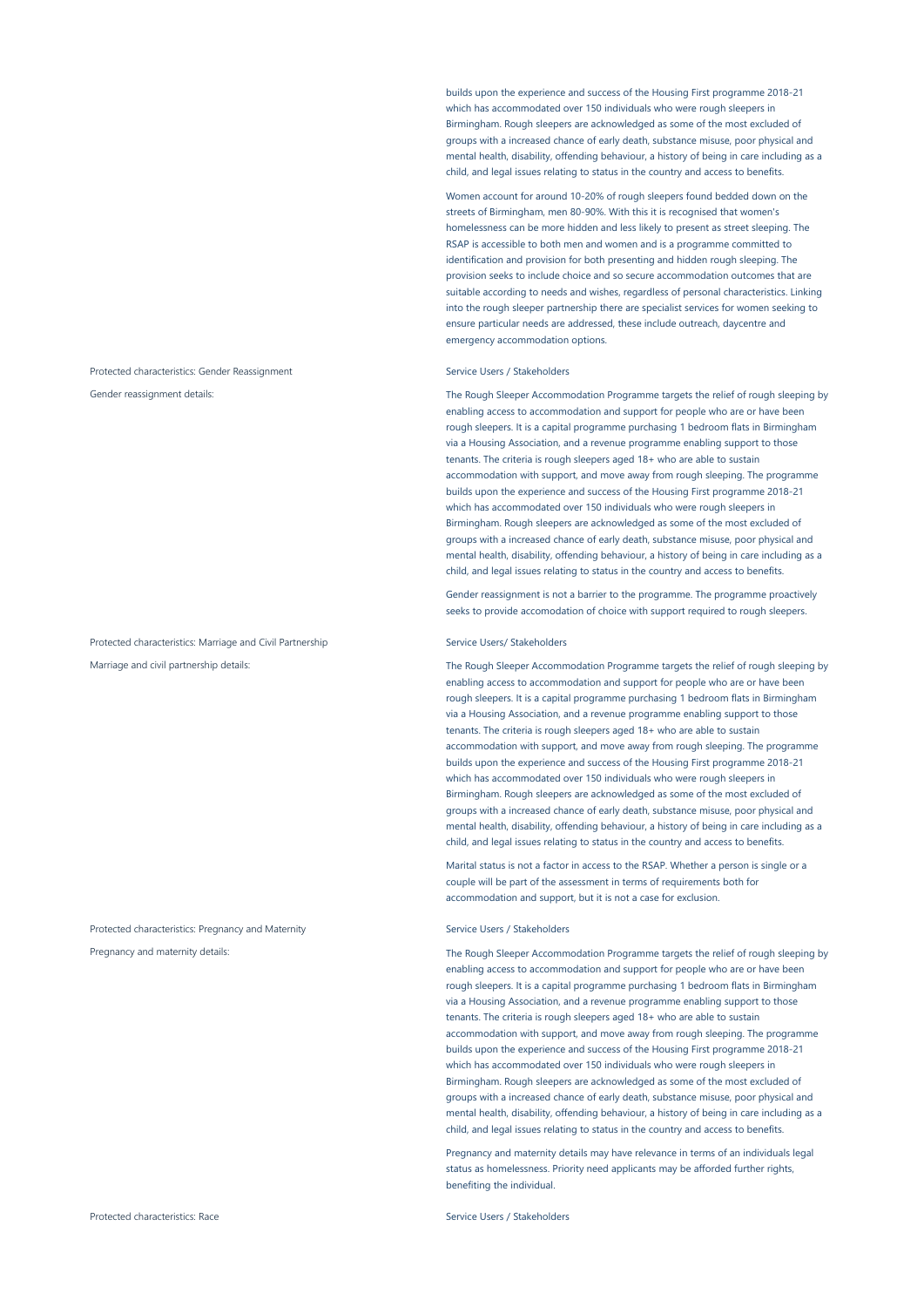Protected characteristics: Gender Reassignment Service Users / Stakeholders

Protected characteristics: Marriage and Civil Partnership Service Users/ Stakeholders

Protected characteristics: Pregnancy and Maternity Service Users / Stakeholders

builds upon the experience and success of the Housing First programme 2018-21 which has accommodated over 150 individuals who were rough sleepers in Birmingham. Rough sleepers are acknowledged as some of the most excluded of groups with a increased chance of early death, substance misuse, poor physical and mental health, disability, offending behaviour, a history of being in care including as a child, and legal issues relating to status in the country and access to benefits.

Women account for around 10-20% of rough sleepers found bedded down on the streets of Birmingham, men 80-90%. With this it is recognised that women's homelessness can be more hidden and less likely to present as street sleeping. The RSAP is accessible to both men and women and is a programme committed to identification and provision for both presenting and hidden rough sleeping. The provision seeks to include choice and so secure accommodation outcomes that are suitable according to needs and wishes, regardless of personal characteristics. Linking into the rough sleeper partnership there are specialist services for women seeking to ensure particular needs are addressed, these include outreach, daycentre and emergency accommodation options.

Gender reassignment details: The Rough Sleeper Accommodation Programme targets the relief of rough sleeping by enabling access to accommodation and support for people who are or have been rough sleepers. It is a capital programme purchasing 1 bedroom flats in Birmingham via a Housing Association, and a revenue programme enabling support to those tenants. The criteria is rough sleepers aged 18+ who are able to sustain accommodation with support, and move away from rough sleeping. The programme builds upon the experience and success of the Housing First programme 2018-21 which has accommodated over 150 individuals who were rough sleepers in Birmingham. Rough sleepers are acknowledged as some of the most excluded of groups with a increased chance of early death, substance misuse, poor physical and mental health, disability, offending behaviour, a history of being in care including as a child, and legal issues relating to status in the country and access to benefits.

> Gender reassignment is not a barrier to the programme. The programme proactively seeks to provide accomodation of choice with support required to rough sleepers.

Marriage and civil partnership details: The Rough Sleeper Accommodation Programme targets the relief of rough sleeping by enabling access to accommodation and support for people who are or have been rough sleepers. It is a capital programme purchasing 1 bedroom flats in Birmingham via a Housing Association, and a revenue programme enabling support to those tenants. The criteria is rough sleepers aged 18+ who are able to sustain accommodation with support, and move away from rough sleeping. The programme builds upon the experience and success of the Housing First programme 2018-21 which has accommodated over 150 individuals who were rough sleepers in Birmingham. Rough sleepers are acknowledged as some of the most excluded of groups with a increased chance of early death, substance misuse, poor physical and mental health, disability, offending behaviour, a history of being in care including as a child, and legal issues relating to status in the country and access to benefits.

> Marital status is not a factor in access to the RSAP. Whether a person is single or a couple will be part of the assessment in terms of requirements both for accommodation and support, but it is not a case for exclusion.

Pregnancy and maternity details: The Rough Sleeper Accommodation Programme targets the relief of rough sleeping by enabling access to accommodation and support for people who are or have been rough sleepers. It is a capital programme purchasing 1 bedroom flats in Birmingham via a Housing Association, and a revenue programme enabling support to those tenants. The criteria is rough sleepers aged 18+ who are able to sustain accommodation with support, and move away from rough sleeping. The programme builds upon the experience and success of the Housing First programme 2018-21 which has accommodated over 150 individuals who were rough sleepers in Birmingham. Rough sleepers are acknowledged as some of the most excluded of groups with a increased chance of early death, substance misuse, poor physical and mental health, disability, offending behaviour, a history of being in care including as a child, and legal issues relating to status in the country and access to benefits.

> Pregnancy and maternity details may have relevance in terms of an individuals legal status as homelessness. Priority need applicants may be afforded further rights, benefiting the individual.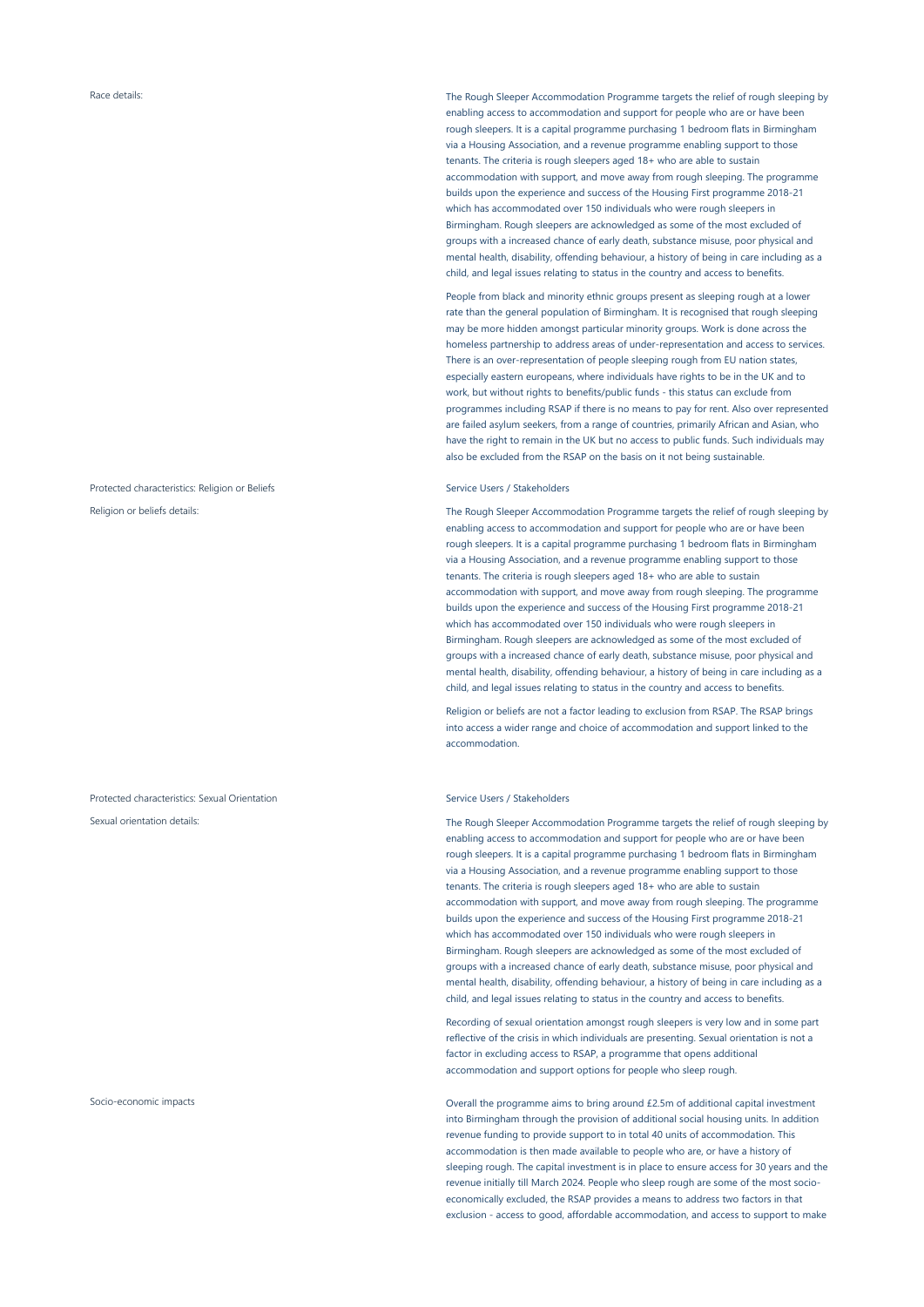# Protected characteristics: Religion or Beliefs Service Users / Stakeholders Service Users / Stakeholders

Protected characteristics: Sexual Orientation Service Users / Stakeholders

Race details: Sace details: The Rough Sleeper Accommodation Programme targets the relief of rough sleeping by enabling access to accommodation and support for people who are or have been rough sleepers. It is a capital programme purchasing 1 bedroom flats in Birmingham via a Housing Association, and a revenue programme enabling support to those tenants. The criteria is rough sleepers aged 18+ who are able to sustain accommodation with support, and move away from rough sleeping. The programme builds upon the experience and success of the Housing First programme 2018-21 which has accommodated over 150 individuals who were rough sleepers in Birmingham. Rough sleepers are acknowledged as some of the most excluded of groups with a increased chance of early death, substance misuse, poor physical and mental health, disability, offending behaviour, a history of being in care including as a child, and legal issues relating to status in the country and access to benefits.

> People from black and minority ethnic groups present as sleeping rough at a lower rate than the general population of Birmingham. It is recognised that rough sleeping may be more hidden amongst particular minority groups. Work is done across the homeless partnership to address areas of under-representation and access to services. There is an over-representation of people sleeping rough from EU nation states, especially eastern europeans, where individuals have rights to be in the UK and to work, but without rights to benefits/public funds - this status can exclude from programmes including RSAP if there is no means to pay for rent. Also over represented are failed asylum seekers, from a range of countries, primarily African and Asian, who have the right to remain in the UK but no access to public funds. Such individuals may also be excluded from the RSAP on the basis on it not being sustainable.

Religion or beliefs details: The Rough Sleeper Accommodation Programme targets the relief of rough sleeping by enabling access to accommodation and support for people who are or have been rough sleepers. It is a capital programme purchasing 1 bedroom flats in Birmingham via a Housing Association, and a revenue programme enabling support to those tenants. The criteria is rough sleepers aged 18+ who are able to sustain accommodation with support, and move away from rough sleeping. The programme builds upon the experience and success of the Housing First programme 2018-21 which has accommodated over 150 individuals who were rough sleepers in Birmingham. Rough sleepers are acknowledged as some of the most excluded of groups with a increased chance of early death, substance misuse, poor physical and mental health, disability, offending behaviour, a history of being in care including as a child, and legal issues relating to status in the country and access to benefits.

> Religion or beliefs are not a factor leading to exclusion from RSAP. The RSAP brings into access a wider range and choice of accommodation and support linked to the accommodation.

Sexual orientation details: The Rough Sleeper Accommodation Programme targets the relief of rough sleeping by enabling access to accommodation and support for people who are or have been rough sleepers. It is a capital programme purchasing 1 bedroom flats in Birmingham via a Housing Association, and a revenue programme enabling support to those tenants. The criteria is rough sleepers aged 18+ who are able to sustain accommodation with support, and move away from rough sleeping. The programme builds upon the experience and success of the Housing First programme 2018-21 which has accommodated over 150 individuals who were rough sleepers in Birmingham. Rough sleepers are acknowledged as some of the most excluded of groups with a increased chance of early death, substance misuse, poor physical and mental health, disability, offending behaviour, a history of being in care including as a child, and legal issues relating to status in the country and access to benefits.

> Recording of sexual orientation amongst rough sleepers is very low and in some part reflective of the crisis in which individuals are presenting. Sexual orientation is not a factor in excluding access to RSAP, a programme that opens additional accommodation and support options for people who sleep rough.

Socio-economic impacts Overall the programme aims to bring around £2.5m of additional capital investment into Birmingham through the provision of additional social housing units. In addition revenue funding to provide support to in total 40 units of accommodation. This accommodation is then made available to people who are, or have a history of sleeping rough. The capital investment is in place to ensure access for 30 years and the revenue initially till March 2024. People who sleep rough are some of the most socioeconomically excluded, the RSAP provides a means to address two factors in that exclusion - access to good, affordable accommodation, and access to support to make